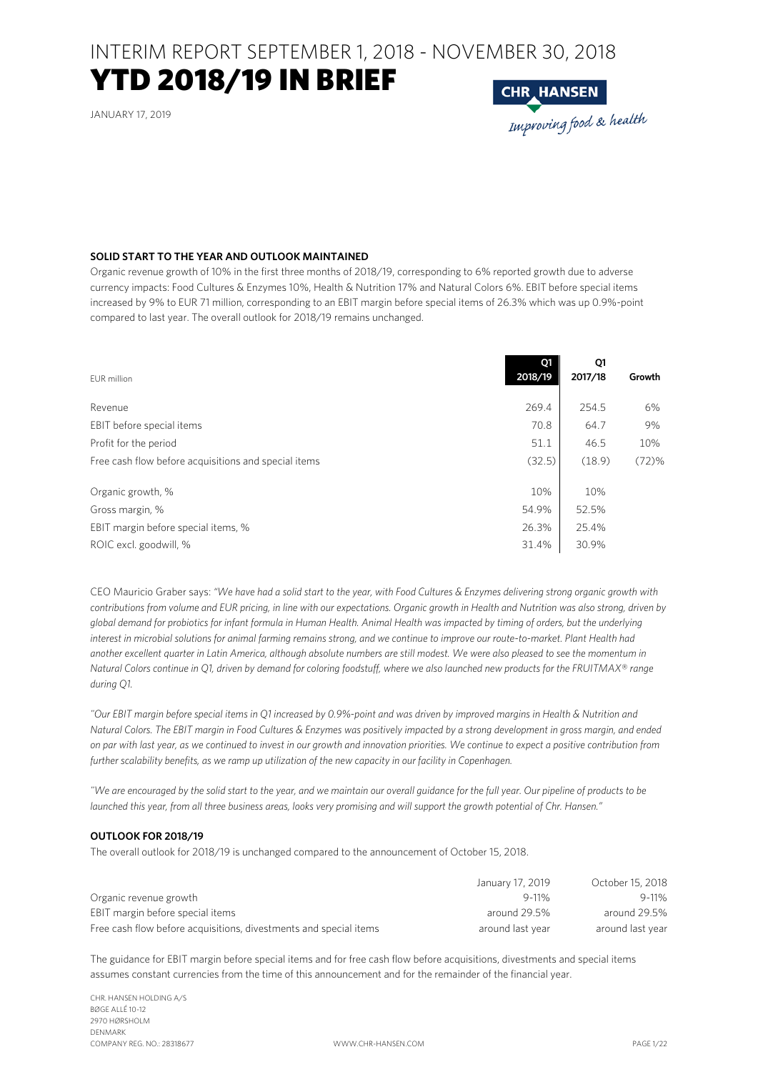### YTD 2018/19 IN BRIEF

JANUARY 17, 2019



### **SOLID START TO THE YEAR AND OUTLOOK MAINTAINED**

Organic revenue growth of 10% in the first three months of 2018/19, corresponding to 6% reported growth due to adverse currency impacts: Food Cultures & Enzymes 10%, Health & Nutrition 17% and Natural Colors 6%. EBIT before special items increased by 9% to EUR 71 million, corresponding to an EBIT margin before special items of 26.3% which was up 0.9%-point compared to last year. The overall outlook for 2018/19 remains unchanged.

| EUR million                                          | Q1<br>2018/19 | Q1<br>2017/18 | Growth |
|------------------------------------------------------|---------------|---------------|--------|
| Revenue                                              | 269.4         | 254.5         | 6%     |
| EBIT before special items                            | 70.8          | 64.7          | 9%     |
| Profit for the period                                | 51.1          | 46.5          | 10%    |
| Free cash flow before acquisitions and special items | (32.5)        | (18.9)        | (72)%  |
| Organic growth, %                                    | 10%           | 10%           |        |
| Gross margin, %                                      | 54.9%         | 52.5%         |        |
| EBIT margin before special items, %                  | 26.3%         | 25.4%         |        |
| ROIC excl. goodwill, %                               | 31.4%         | 30.9%         |        |

CEO Mauricio Graber says: *"We have had a solid start to the year, with Food Cultures & Enzymes delivering strong organic growth with contributions from volume and EUR pricing, in line with our expectations. Organic growth in Health and Nutrition was also strong, driven by global demand for probiotics for infant formula in Human Health. Animal Health was impacted by timing of orders, but the underlying interest in microbial solutions for animal farming remains strong, and we continue to improve our route-to-market. Plant Health had another excellent quarter in Latin America, although absolute numbers are still modest. We were also pleased to see the momentum in Natural Colors continue in Q1, driven by demand for coloring foodstuff, where we also launched new products for the FRUITMAX® range during Q1.* 

*"Our EBIT margin before special items in Q1 increased by 0.9%-point and was driven by improved margins in Health & Nutrition and Natural Colors. The EBIT margin in Food Cultures & Enzymes was positively impacted by a strong development in gross margin, and ended on par with last year, as we continued to invest in our growth and innovation priorities. We continue to expect a positive contribution from further scalability benefits, as we ramp up utilization of the new capacity in our facility in Copenhagen.* 

*"We are encouraged by the solid start to the year, and we maintain our overall guidance for the full year. Our pipeline of products to be launched this year, from all three business areas, looks very promising and will support the growth potential of Chr. Hansen."* 

### **OUTLOOK FOR 2018/19**

The overall outlook for 2018/19 is unchanged compared to the announcement of October 15, 2018.

|                                                                   | January 17, 2019 | October 15, 2018 |
|-------------------------------------------------------------------|------------------|------------------|
| Organic revenue growth                                            | $9 - 11%$        | $9 - 11%$        |
| EBIT margin before special items                                  | around 29.5%     | around 29.5%     |
| Free cash flow before acquisitions, divestments and special items | around last year | around last year |

The guidance for EBIT margin before special items and for free cash flow before acquisitions, divestments and special items assumes constant currencies from the time of this announcement and for the remainder of the financial year.

CHR. HANSEN HOLDING A/S BØGE ALLÉ 10-12 2970 HØRSHOLM DENMARK COMPANY REG. NO.: 28318677 WWW.CHR-HANSEN.COM PAGE 1/22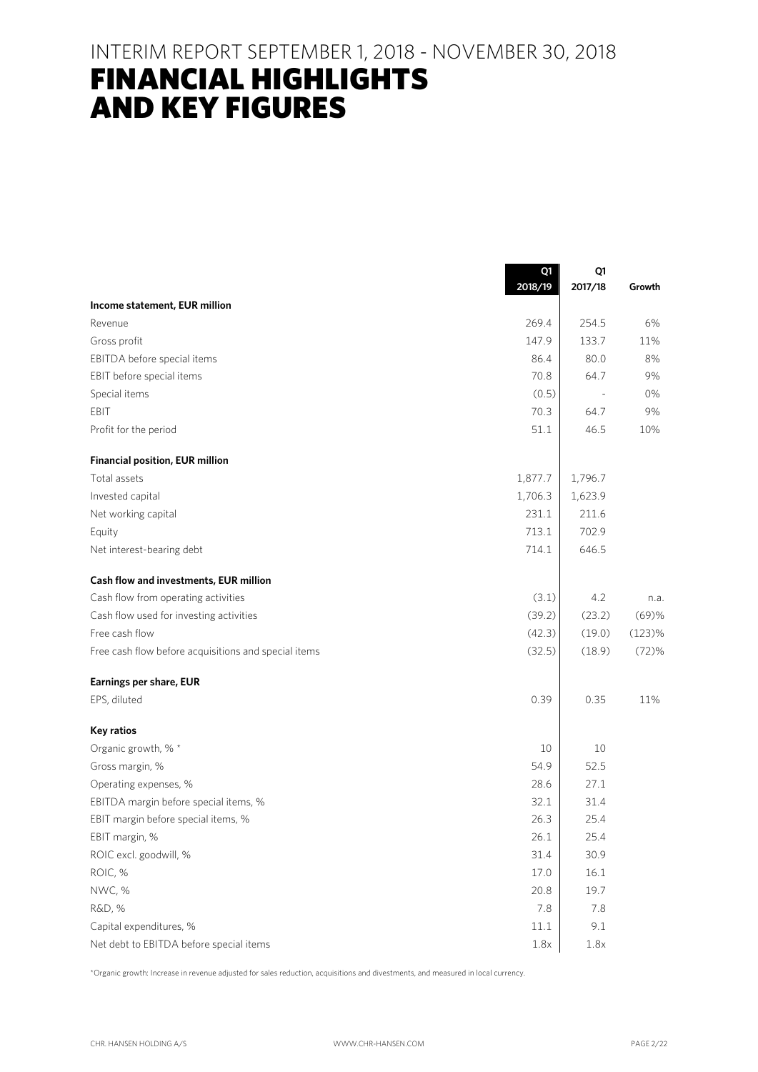## FINANCIAL HIGHLIGHTS AND KEY FIGURES

|                                                      | Q1<br>2018/19 | Q1<br>2017/18 | Growth |
|------------------------------------------------------|---------------|---------------|--------|
| Income statement, EUR million                        |               |               |        |
| Revenue                                              | 269.4         | 254.5         | 6%     |
| Gross profit                                         | 147.9         | 133.7         | 11%    |
| EBITDA before special items                          | 86.4          | 80.0          | 8%     |
| EBIT before special items                            | 70.8          | 64.7          | 9%     |
| Special items                                        | (0.5)         |               | 0%     |
| EBIT                                                 | 70.3          | 64.7          | 9%     |
| Profit for the period                                | 51.1          | 46.5          | 10%    |
| <b>Financial position, EUR million</b>               |               |               |        |
| Total assets                                         | 1,877.7       | 1,796.7       |        |
| Invested capital                                     | 1,706.3       | 1,623.9       |        |
| Net working capital                                  | 231.1         | 211.6         |        |
| Equity                                               | 713.1         | 702.9         |        |
| Net interest-bearing debt                            | 714.1         | 646.5         |        |
| Cash flow and investments, EUR million               |               |               |        |
| Cash flow from operating activities                  | (3.1)         | 4.2           | n.a.   |
| Cash flow used for investing activities              | (39.2)        | (23.2)        | (69)%  |
| Free cash flow                                       | (42.3)        | (19.0)        | (123)% |
| Free cash flow before acquisitions and special items | (32.5)        | (18.9)        | (72)%  |
| Earnings per share, EUR                              |               |               |        |
| EPS, diluted                                         | 0.39          | 0.35          | 11%    |
| <b>Key ratios</b>                                    |               |               |        |
| Organic growth, % *                                  | 10            | 10            |        |
| Gross margin, %                                      | 54.9          | 52.5          |        |
| Operating expenses, %                                | 28.6          | 27.1          |        |
| EBITDA margin before special items, %                | 32.1          | 31.4          |        |
| EBIT margin before special items, %                  | 26.3          | 25.4          |        |
| EBIT margin, %                                       | 26.1          | 25.4          |        |
| ROIC excl. goodwill, %                               | 31.4          | 30.9          |        |
| ROIC, %                                              | 17.0          | 16.1          |        |
| NWC, %                                               | 20.8          | 19.7          |        |
| R&D, %                                               | 7.8           | 7.8           |        |
| Capital expenditures, %                              | 11.1          | 9.1           |        |
| Net debt to EBITDA before special items              | 1.8x          | 1.8x          |        |

\*Organic growth: Increase in revenue adjusted for sales reduction, acquisitions and divestments, and measured in local currency.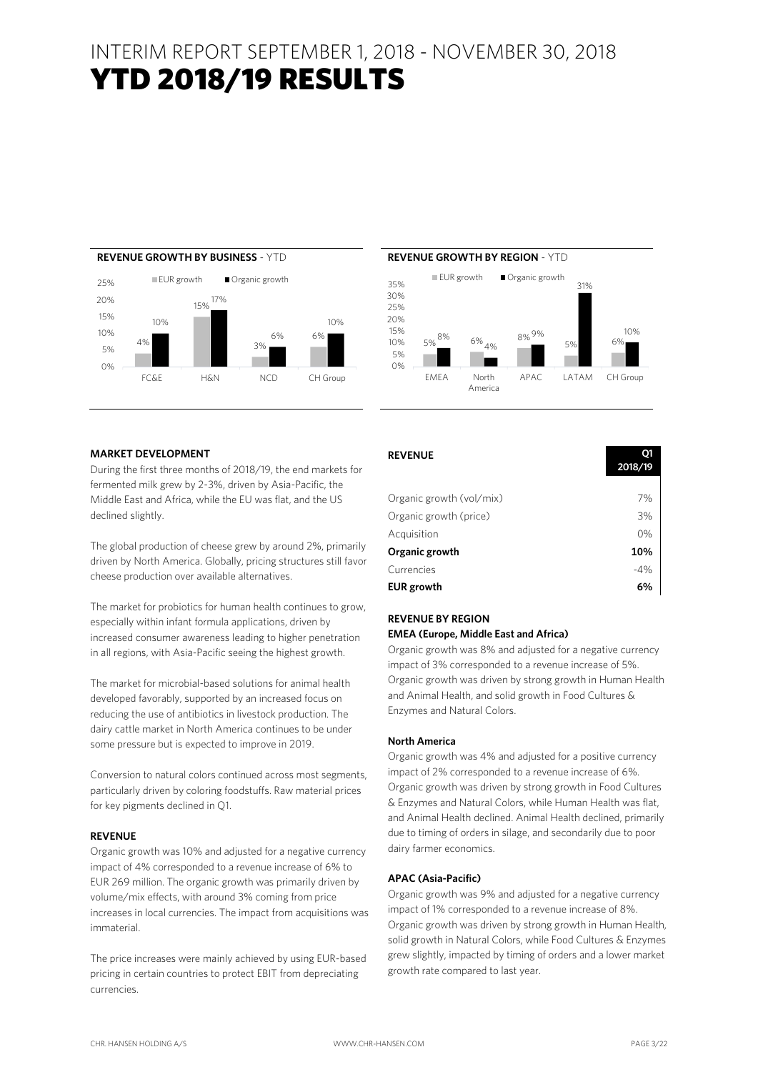## YTD 2018/19 RESULTS





#### **MARKET DEVELOPMENT**

During the first three months of 2018/19, the end markets for fermented milk grew by 2-3%, driven by Asia-Pacific, the Middle East and Africa, while the EU was flat, and the US declined slightly.

The global production of cheese grew by around 2%, primarily driven by North America. Globally, pricing structures still favor cheese production over available alternatives.

The market for probiotics for human health continues to grow, especially within infant formula applications, driven by increased consumer awareness leading to higher penetration in all regions, with Asia-Pacific seeing the highest growth.

The market for microbial-based solutions for animal health developed favorably, supported by an increased focus on reducing the use of antibiotics in livestock production. The dairy cattle market in North America continues to be under some pressure but is expected to improve in 2019.

Conversion to natural colors continued across most segments, particularly driven by coloring foodstuffs. Raw material prices for key pigments declined in Q1.

### **REVENUE**

Organic growth was 10% and adjusted for a negative currency impact of 4% corresponded to a revenue increase of 6% to EUR 269 million. The organic growth was primarily driven by volume/mix effects, with around 3% coming from price increases in local currencies. The impact from acquisitions was immaterial.

The price increases were mainly achieved by using EUR-based pricing in certain countries to protect EBIT from depreciating currencies.

| <b>REVENUE</b>           | O1<br>2018/19 |
|--------------------------|---------------|
|                          |               |
| Organic growth (vol/mix) | 7%            |
| Organic growth (price)   | 3%            |
| Acquisition              | 0%            |
| Organic growth           | 10%           |
| Currencies               | $-4%$         |
| <b>EUR</b> growth        | 6%            |

### **REVENUE BY REGION**

### **EMEA (Europe, Middle East and Africa)**

Organic growth was 8% and adjusted for a negative currency impact of 3% corresponded to a revenue increase of 5%. Organic growth was driven by strong growth in Human Health and Animal Health, and solid growth in Food Cultures & Enzymes and Natural Colors.

#### **North America**

Organic growth was 4% and adjusted for a positive currency impact of 2% corresponded to a revenue increase of 6%. Organic growth was driven by strong growth in Food Cultures & Enzymes and Natural Colors, while Human Health was flat, and Animal Health declined. Animal Health declined, primarily due to timing of orders in silage, and secondarily due to poor dairy farmer economics.

#### **APAC (Asia-Pacific)**

Organic growth was 9% and adjusted for a negative currency impact of 1% corresponded to a revenue increase of 8%. Organic growth was driven by strong growth in Human Health, solid growth in Natural Colors, while Food Cultures & Enzymes grew slightly, impacted by timing of orders and a lower market growth rate compared to last year.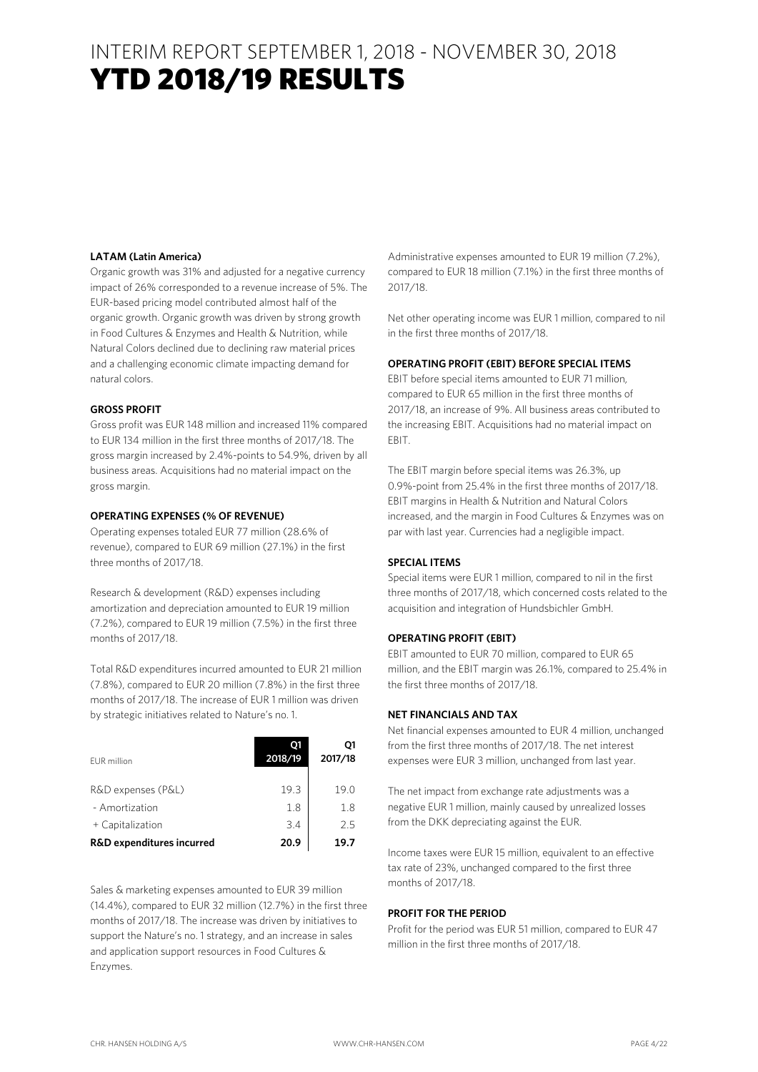### INTERIM REPORT SEPTEMBER 1, 2018 - NOVEMBER 30, 2018 YTD 2018/19 RESULTS

### **LATAM (Latin America)**

Organic growth was 31% and adjusted for a negative currency impact of 26% corresponded to a revenue increase of 5%. The EUR-based pricing model contributed almost half of the organic growth. Organic growth was driven by strong growth in Food Cultures & Enzymes and Health & Nutrition, while Natural Colors declined due to declining raw material prices and a challenging economic climate impacting demand for natural colors.

### **GROSS PROFIT**

Gross profit was EUR 148 million and increased 11% compared to EUR 134 million in the first three months of 2017/18. The gross margin increased by 2.4%-points to 54.9%, driven by all business areas. Acquisitions had no material impact on the gross margin.

### **OPERATING EXPENSES (% OF REVENUE)**

Operating expenses totaled EUR 77 million (28.6% of revenue), compared to EUR 69 million (27.1%) in the first three months of 2017/18.

Research & development (R&D) expenses including amortization and depreciation amounted to EUR 19 million (7.2%), compared to EUR 19 million (7.5%) in the first three months of 2017/18.

Total R&D expenditures incurred amounted to EUR 21 million (7.8%), compared to EUR 20 million (7.8%) in the first three months of 2017/18. The increase of EUR 1 million was driven by strategic initiatives related to Nature's no. 1.

| EUR million                          | 01<br>2018/19 | O1<br>2017/18 |
|--------------------------------------|---------------|---------------|
| R&D expenses (P&L)                   | 19.3          | 19.0          |
| - Amortization                       | 1.8           | 1.8           |
| + Capitalization                     | 3.4           | 25            |
| <b>R&amp;D expenditures incurred</b> | 20.9          | 19.7          |

Sales & marketing expenses amounted to EUR 39 million (14.4%), compared to EUR 32 million (12.7%) in the first three months of 2017/18. The increase was driven by initiatives to support the Nature's no. 1 strategy, and an increase in sales and application support resources in Food Cultures & Enzymes.

Administrative expenses amounted to EUR 19 million (7.2%), compared to EUR 18 million (7.1%) in the first three months of 2017/18.

Net other operating income was EUR 1 million, compared to nil in the first three months of 2017/18.

### **OPERATING PROFIT (EBIT) BEFORE SPECIAL ITEMS**

EBIT before special items amounted to EUR 71 million, compared to EUR 65 million in the first three months of 2017/18, an increase of 9%. All business areas contributed to the increasing EBIT. Acquisitions had no material impact on EBIT.

The EBIT margin before special items was 26.3%, up 0.9%-point from 25.4% in the first three months of 2017/18. EBIT margins in Health & Nutrition and Natural Colors increased, and the margin in Food Cultures & Enzymes was on par with last year. Currencies had a negligible impact.

### **SPECIAL ITEMS**

Special items were EUR 1 million, compared to nil in the first three months of 2017/18, which concerned costs related to the acquisition and integration of Hundsbichler GmbH.

### **OPERATING PROFIT (EBIT)**

EBIT amounted to EUR 70 million, compared to EUR 65 million, and the EBIT margin was 26.1%, compared to 25.4% in the first three months of 2017/18.

### **NET FINANCIALS AND TAX**

Net financial expenses amounted to EUR 4 million, unchanged from the first three months of 2017/18. The net interest expenses were EUR 3 million, unchanged from last year.

The net impact from exchange rate adjustments was a negative EUR 1 million, mainly caused by unrealized losses from the DKK depreciating against the EUR.

Income taxes were EUR 15 million, equivalent to an effective tax rate of 23%, unchanged compared to the first three months of 2017/18.

### **PROFIT FOR THE PERIOD**

Profit for the period was EUR 51 million, compared to EUR 47 million in the first three months of 2017/18.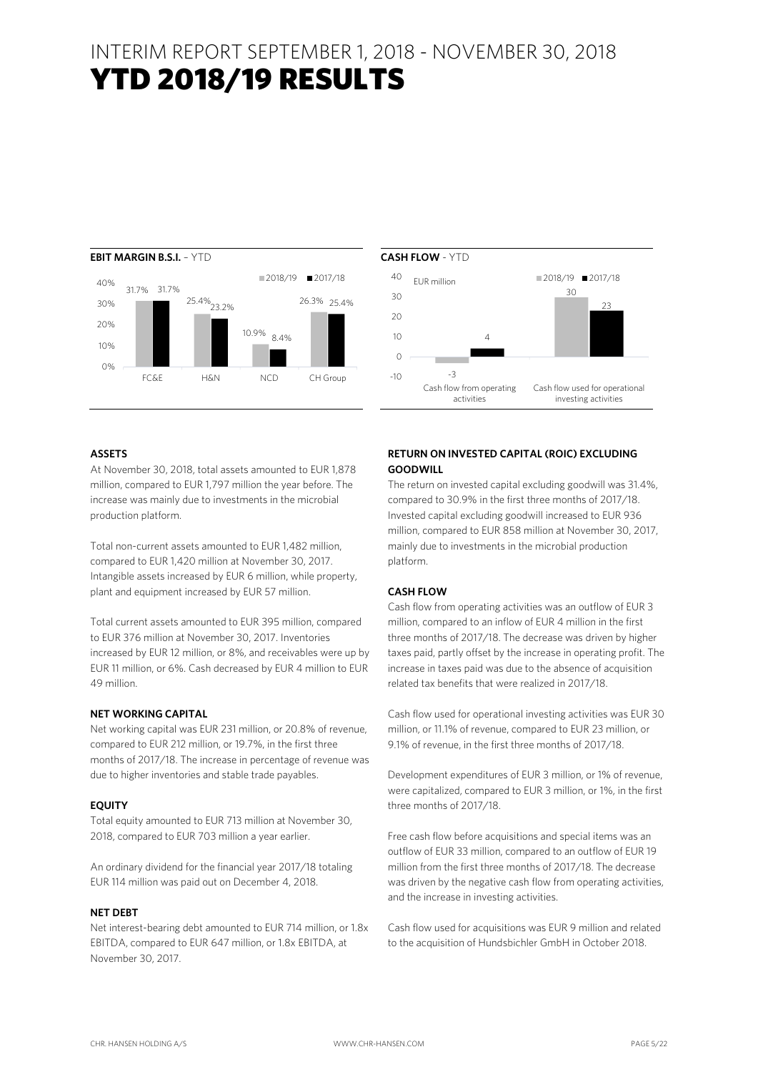### INTERIM REPORT SEPTEMBER 1, 2018 - NOVEMBER 30, 2018 YTD 2018/19 RESULTS





### **ASSETS**

At November 30, 2018, total assets amounted to EUR 1,878 million, compared to EUR 1,797 million the year before. The increase was mainly due to investments in the microbial production platform.

Total non-current assets amounted to EUR 1,482 million, compared to EUR 1,420 million at November 30, 2017. Intangible assets increased by EUR 6 million, while property, plant and equipment increased by EUR 57 million.

Total current assets amounted to EUR 395 million, compared to EUR 376 million at November 30, 2017. Inventories increased by EUR 12 million, or 8%, and receivables were up by EUR 11 million, or 6%. Cash decreased by EUR 4 million to EUR 49 million.

### **NET WORKING CAPITAL**

Net working capital was EUR 231 million, or 20.8% of revenue, compared to EUR 212 million, or 19.7%, in the first three months of 2017/18. The increase in percentage of revenue was due to higher inventories and stable trade payables.

### **EQUITY**

Total equity amounted to EUR 713 million at November 30, 2018, compared to EUR 703 million a year earlier.

An ordinary dividend for the financial year 2017/18 totaling EUR 114 million was paid out on December 4, 2018.

### **NET DEBT**

Net interest-bearing debt amounted to EUR 714 million, or 1.8x EBITDA, compared to EUR 647 million, or 1.8x EBITDA, at November 30, 2017.

### **RETURN ON INVESTED CAPITAL (ROIC) EXCLUDING GOODWILL**

The return on invested capital excluding goodwill was 31.4%, compared to 30.9% in the first three months of 2017/18. Invested capital excluding goodwill increased to EUR 936 million, compared to EUR 858 million at November 30, 2017, mainly due to investments in the microbial production platform.

### **CASH FLOW**

Cash flow from operating activities was an outflow of EUR 3 million, compared to an inflow of EUR 4 million in the first three months of 2017/18. The decrease was driven by higher taxes paid, partly offset by the increase in operating profit. The increase in taxes paid was due to the absence of acquisition related tax benefits that were realized in 2017/18.

Cash flow used for operational investing activities was EUR 30 million, or 11.1% of revenue, compared to EUR 23 million, or 9.1% of revenue, in the first three months of 2017/18.

Development expenditures of EUR 3 million, or 1% of revenue, were capitalized, compared to EUR 3 million, or 1%, in the first three months of 2017/18.

Free cash flow before acquisitions and special items was an outflow of EUR 33 million, compared to an outflow of EUR 19 million from the first three months of 2017/18. The decrease was driven by the negative cash flow from operating activities, and the increase in investing activities.

Cash flow used for acquisitions was EUR 9 million and related to the acquisition of Hundsbichler GmbH in October 2018.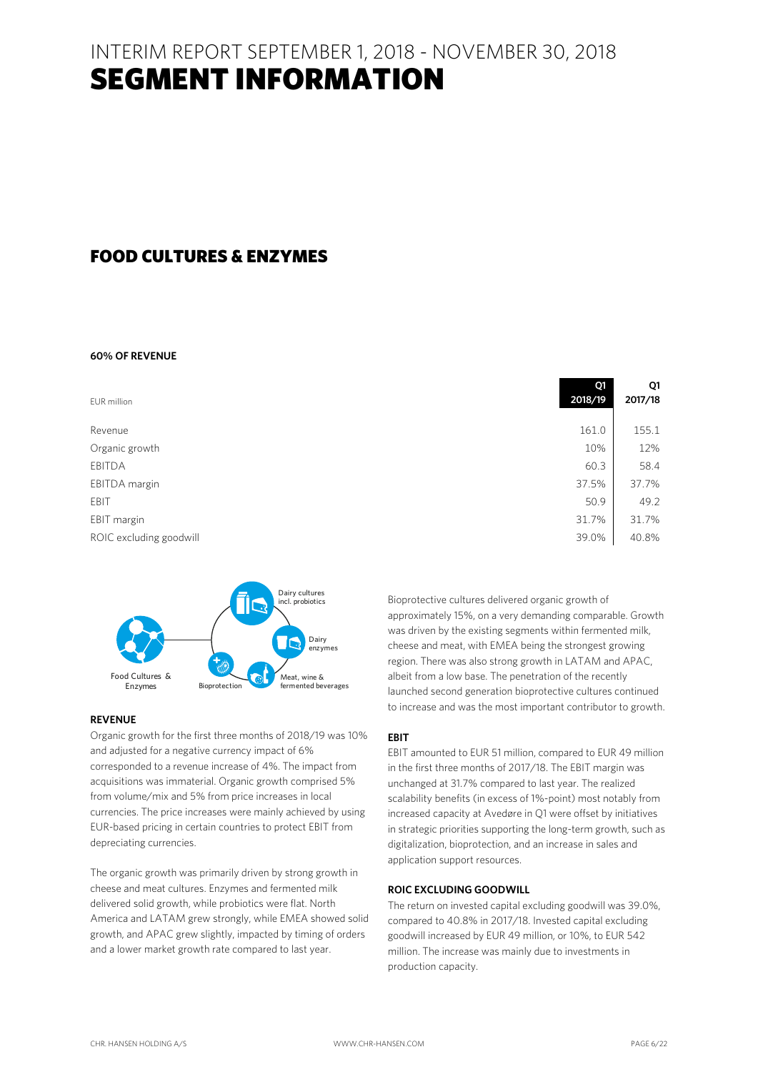### INTERIM REPORT SEPTEMBER 1, 2018 - NOVEMBER 30, 2018 SEGMENT INFORMATION

### FOOD CULTURES & ENZYMES

### **60% OF REVENUE**

| EUR million             | Q1<br>2018/19 | Q1<br>2017/18 |
|-------------------------|---------------|---------------|
| Revenue                 | 161.0         | 155.1         |
| Organic growth          | 10%           | 12%           |
| <b>EBITDA</b>           | 60.3          | 58.4          |
| EBITDA margin           | 37.5%         | 37.7%         |
| EBIT                    | 50.9          | 49.2          |
| EBIT margin             | 31.7%         | 31.7%         |
| ROIC excluding goodwill | 39.0%         | 40.8%         |



### **REVENUE**

Organic growth for the first three months of 2018/19 was 10% and adjusted for a negative currency impact of 6% corresponded to a revenue increase of 4%. The impact from acquisitions was immaterial. Organic growth comprised 5% from volume/mix and 5% from price increases in local currencies. The price increases were mainly achieved by using EUR-based pricing in certain countries to protect EBIT from depreciating currencies.

The organic growth was primarily driven by strong growth in cheese and meat cultures. Enzymes and fermented milk delivered solid growth, while probiotics were flat. North America and LATAM grew strongly, while EMEA showed solid growth, and APAC grew slightly, impacted by timing of orders and a lower market growth rate compared to last year.

Bioprotective cultures delivered organic growth of approximately 15%, on a very demanding comparable. Growth was driven by the existing segments within fermented milk, cheese and meat, with EMEA being the strongest growing region. There was also strong growth in LATAM and APAC, albeit from a low base. The penetration of the recently launched second generation bioprotective cultures continued to increase and was the most important contributor to growth.

#### **EBIT**

EBIT amounted to EUR 51 million, compared to EUR 49 million in the first three months of 2017/18. The EBIT margin was unchanged at 31.7% compared to last year. The realized scalability benefits (in excess of 1%-point) most notably from increased capacity at Avedøre in Q1 were offset by initiatives in strategic priorities supporting the long-term growth, such as digitalization, bioprotection, and an increase in sales and application support resources.

#### **ROIC EXCLUDING GOODWILL**

The return on invested capital excluding goodwill was 39.0%, compared to 40.8% in 2017/18. Invested capital excluding goodwill increased by EUR 49 million, or 10%, to EUR 542 million. The increase was mainly due to investments in production capacity.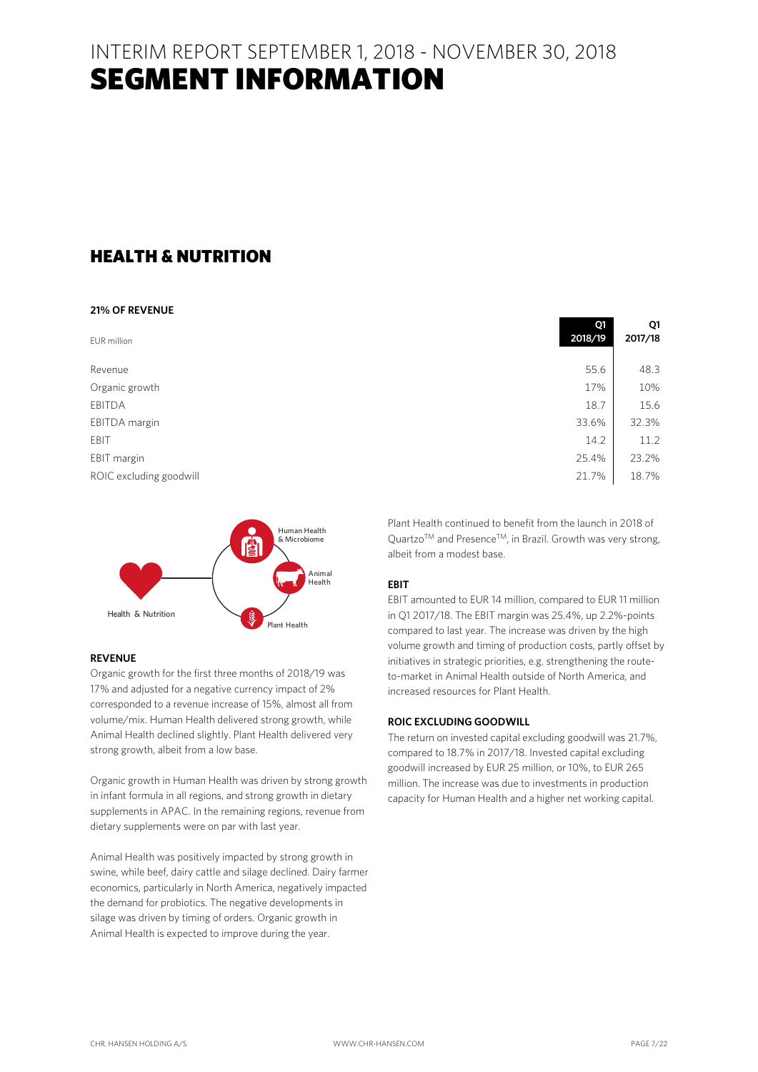INTERIM REPORT SEPTEMBER 1, 2018 - NOVEMBER 30, 2018 SEGMENT INFORMATION

### HEALTH & NUTRITION

### **21% OF REVENUE**

| EUR million             | Q1<br>2018/19 | Q1<br>2017/18 |
|-------------------------|---------------|---------------|
| Revenue                 | 55.6          | 48.3          |
| Organic growth          | 17%           | 10%           |
| EBITDA                  | 18.7          | 15.6          |
| EBITDA margin           | 33.6%         | 32.3%         |
| EBIT                    | 14.2          | 11.2          |
| EBIT margin             | 25.4%         | 23.2%         |
| ROIC excluding goodwill | 21.7%         | 18.7%         |



### **REVENUE**

Organic growth for the first three months of 2018/19 was 17% and adjusted for a negative currency impact of 2% corresponded to a revenue increase of 15%, almost all from volume/mix. Human Health delivered strong growth, while Animal Health declined slightly. Plant Health delivered very strong growth, albeit from a low base.

Organic growth in Human Health was driven by strong growth in infant formula in all regions, and strong growth in dietary supplements in APAC. In the remaining regions, revenue from dietary supplements were on par with last year.

Animal Health was positively impacted by strong growth in swine, while beef, dairy cattle and silage declined. Dairy farmer economics, particularly in North America, negatively impacted the demand for probiotics. The negative developments in silage was driven by timing of orders. Organic growth in Animal Health is expected to improve during the year.

| Plant Health continued to benefit from the launch in 2018 of                |
|-----------------------------------------------------------------------------|
| $QuartzoTM$ and Presence <sup>TM</sup> , in Brazil. Growth was very strong, |
| albeit from a modest base.                                                  |

### **EBIT**

EBIT amounted to EUR 14 million, compared to EUR 11 million in Q1 2017/18. The EBIT margin was 25.4%, up 2.2%-points compared to last year. The increase was driven by the high volume growth and timing of production costs, partly offset by initiatives in strategic priorities, e.g. strengthening the routeto-market in Animal Health outside of North America, and increased resources for Plant Health.

### **ROIC EXCLUDING GOODWILL**

The return on invested capital excluding goodwill was 21.7%, compared to 18.7% in 2017/18. Invested capital excluding goodwill increased by EUR 25 million, or 10%, to EUR 265 million. The increase was due to investments in production capacity for Human Health and a higher net working capital.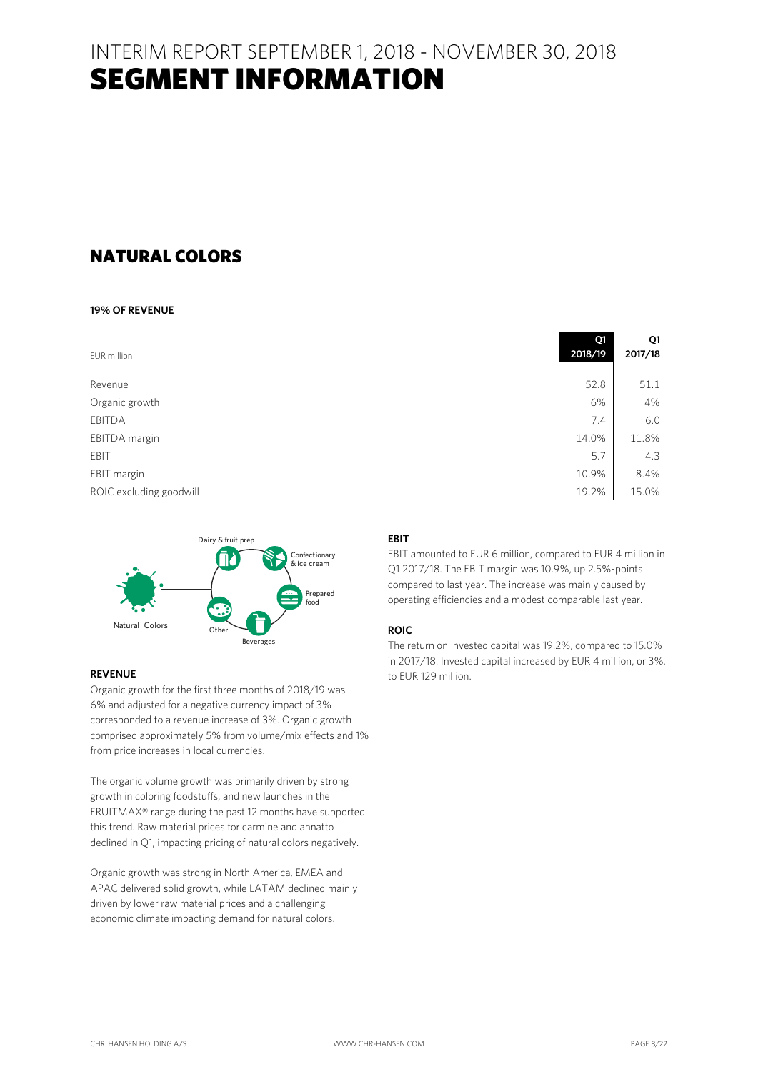### INTERIM REPORT SEPTEMBER 1, 2018 - NOVEMBER 30, 2018 SEGMENT INFORMATION

### NATURAL COLORS

### **19% OF REVENUE**

| EUR million             | Q1<br>2018/19 | Q1<br>2017/18 |
|-------------------------|---------------|---------------|
| Revenue                 | 52.8          | 51.1          |
| Organic growth          | 6%            | 4%            |
| EBITDA                  | 7.4           | 6.0           |
| EBITDA margin           | 14.0%         | 11.8%         |
| EBIT                    | 5.7           | 4.3           |
| EBIT margin             | 10.9%         | 8.4%          |
| ROIC excluding goodwill | 19.2%         | 15.0%         |



### **REVENUE**

Organic growth for the first three months of 2018/19 was 6% and adjusted for a negative currency impact of 3% corresponded to a revenue increase of 3%. Organic growth comprised approximately 5% from volume/mix effects and 1% from price increases in local currencies.

The organic volume growth was primarily driven by strong growth in coloring foodstuffs, and new launches in the FRUITMAX® range during the past 12 months have supported this trend. Raw material prices for carmine and annatto declined in Q1, impacting pricing of natural colors negatively.

Organic growth was strong in North America, EMEA and APAC delivered solid growth, while LATAM declined mainly driven by lower raw material prices and a challenging economic climate impacting demand for natural colors.

### **EBIT**

EBIT amounted to EUR 6 million, compared to EUR 4 million in Q1 2017/18. The EBIT margin was 10.9%, up 2.5%-points compared to last year. The increase was mainly caused by operating efficiencies and a modest comparable last year.

### **ROIC**

The return on invested capital was 19.2%, compared to 15.0% in 2017/18. Invested capital increased by EUR 4 million, or 3%, to EUR 129 million.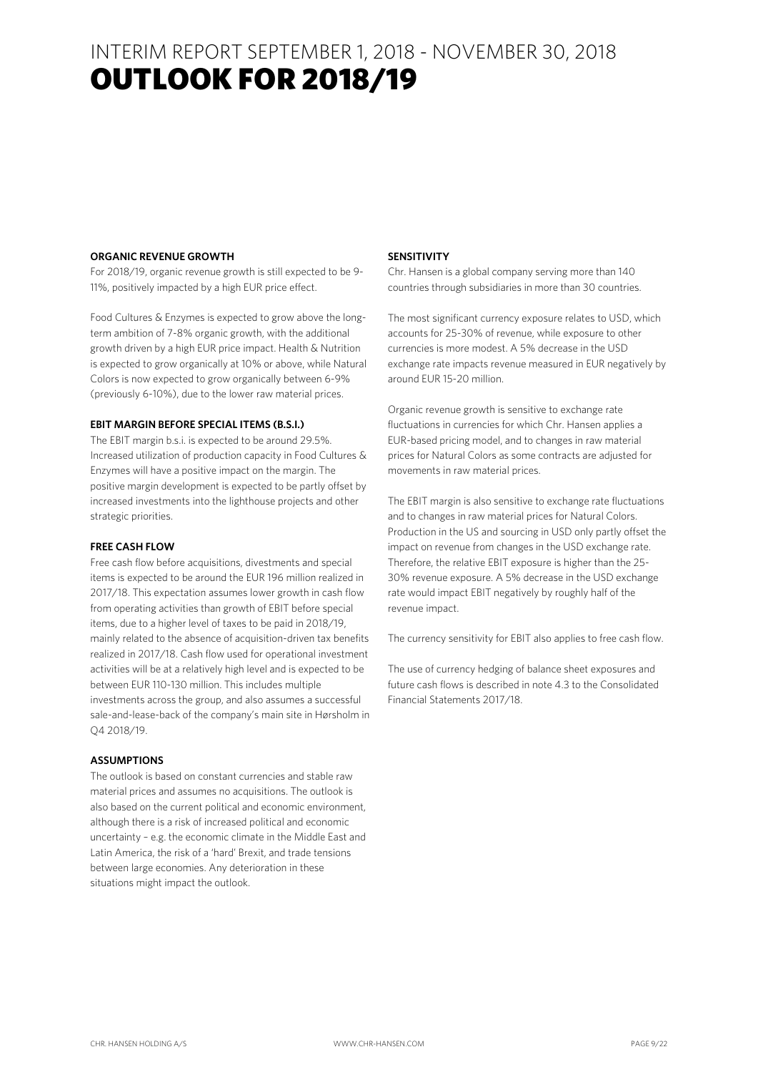### INTERIM REPORT SEPTEMBER 1, 2018 - NOVEMBER 30, 2018 **OUTLOOK FOR 2018/19**

### **ORGANIC REVENUE GROWTH**

For 2018/19, organic revenue growth is still expected to be 9- 11%, positively impacted by a high EUR price effect.

Food Cultures & Enzymes is expected to grow above the longterm ambition of 7-8% organic growth, with the additional growth driven by a high EUR price impact. Health & Nutrition is expected to grow organically at 10% or above, while Natural Colors is now expected to grow organically between 6-9% (previously 6-10%), due to the lower raw material prices.

### **EBIT MARGIN BEFORE SPECIAL ITEMS (B.S.I.)**

The EBIT margin b.s.i. is expected to be around 29.5%. Increased utilization of production capacity in Food Cultures & Enzymes will have a positive impact on the margin. The positive margin development is expected to be partly offset by increased investments into the lighthouse projects and other strategic priorities.

### **FREE CASH FLOW**

Free cash flow before acquisitions, divestments and special items is expected to be around the EUR 196 million realized in 2017/18. This expectation assumes lower growth in cash flow from operating activities than growth of EBIT before special items, due to a higher level of taxes to be paid in 2018/19, mainly related to the absence of acquisition-driven tax benefits realized in 2017/18. Cash flow used for operational investment activities will be at a relatively high level and is expected to be between EUR 110-130 million. This includes multiple investments across the group, and also assumes a successful sale-and-lease-back of the company's main site in Hørsholm in Q4 2018/19.

### **ASSUMPTIONS**

The outlook is based on constant currencies and stable raw material prices and assumes no acquisitions. The outlook is also based on the current political and economic environment, although there is a risk of increased political and economic uncertainty – e.g. the economic climate in the Middle East and Latin America, the risk of a 'hard' Brexit, and trade tensions between large economies. Any deterioration in these situations might impact the outlook.

### **SENSITIVITY**

Chr. Hansen is a global company serving more than 140 countries through subsidiaries in more than 30 countries.

The most significant currency exposure relates to USD, which accounts for 25-30% of revenue, while exposure to other currencies is more modest. A 5% decrease in the USD exchange rate impacts revenue measured in EUR negatively by around EUR 15-20 million.

Organic revenue growth is sensitive to exchange rate fluctuations in currencies for which Chr. Hansen applies a EUR-based pricing model, and to changes in raw material prices for Natural Colors as some contracts are adjusted for movements in raw material prices.

The EBIT margin is also sensitive to exchange rate fluctuations and to changes in raw material prices for Natural Colors. Production in the US and sourcing in USD only partly offset the impact on revenue from changes in the USD exchange rate. Therefore, the relative EBIT exposure is higher than the 25- 30% revenue exposure. A 5% decrease in the USD exchange rate would impact EBIT negatively by roughly half of the revenue impact.

The currency sensitivity for EBIT also applies to free cash flow.

The use of currency hedging of balance sheet exposures and future cash flows is described in note 4.3 to the Consolidated Financial Statements 2017/18.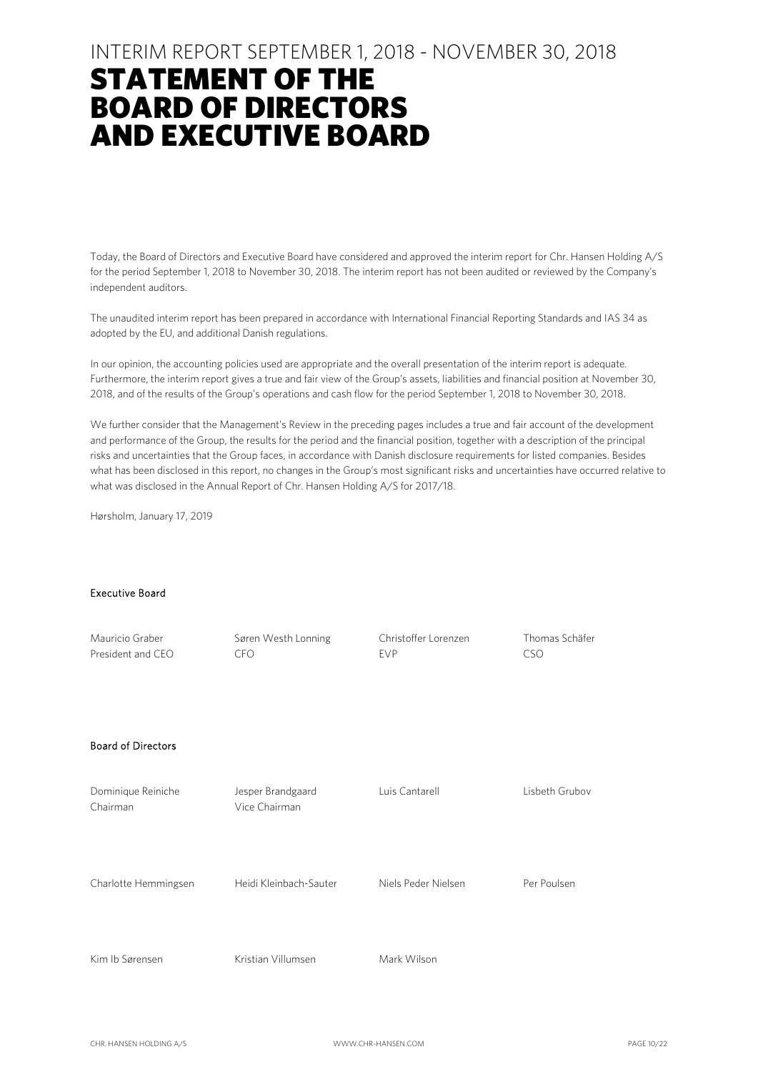## STATEMENT OF THE BOARD OF DIRECTORS AND EXECUTIVE BOARD

Today, the Board of Directors and Executive Board have considered and approved the interim report for Chr. Hansen Holding A/S for the period September 1, 2018 to November 30, 2018. The interim report has not been audited or reviewed by the Company's independent auditors.

The unaudited interim report has been prepared in accordance with International Financial Reporting Standards and IAS 34 as adopted by the EU, and additional Danish regulations.

In our opinion, the accounting policies used are appropriate and the overall presentation of the interim report is adequate. Furthermore, the interim report gives a true and fair view of the Group's assets, liabilities and financial position at November 30, 2018, and of the results of the Group's operations and cash flow for the period September 1, 2018 to November 30, 2018.

We further consider that the Management's Review in the preceding pages includes a true and fair account of the development and performance of the Group, the results for the period and the financial position, together with a description of the principal risks and uncertainties that the Group faces, in accordance with Danish disclosure requirements for listed companies. Besides what has been disclosed in this report, no changes in the Group's most significant risks and uncertainties have occurred relative to what was disclosed in the Annual Report of Chr. Hansen Holding A/S for 2017/18.

Hørsholm, January 17, 2019

#### Executive Board

| Mauricio Graber<br>President and CEO | Søren Westh Lonning<br><b>CFO</b>  | Christoffer Lorenzen<br><b>EVP</b> | Thomas Schäfer<br><b>CSO</b> |
|--------------------------------------|------------------------------------|------------------------------------|------------------------------|
| <b>Board of Directors</b>            |                                    |                                    |                              |
| Dominique Reiniche<br>Chairman       | Jesper Brandgaard<br>Vice Chairman | Luis Cantarell                     | Lisbeth Grubov               |
| Charlotte Hemmingsen                 | Heidi Kleinbach-Sauter             | Niels Peder Nielsen                | Per Poulsen                  |
| Kim Ib Sørensen                      | Kristian Villumsen                 | Mark Wilson                        |                              |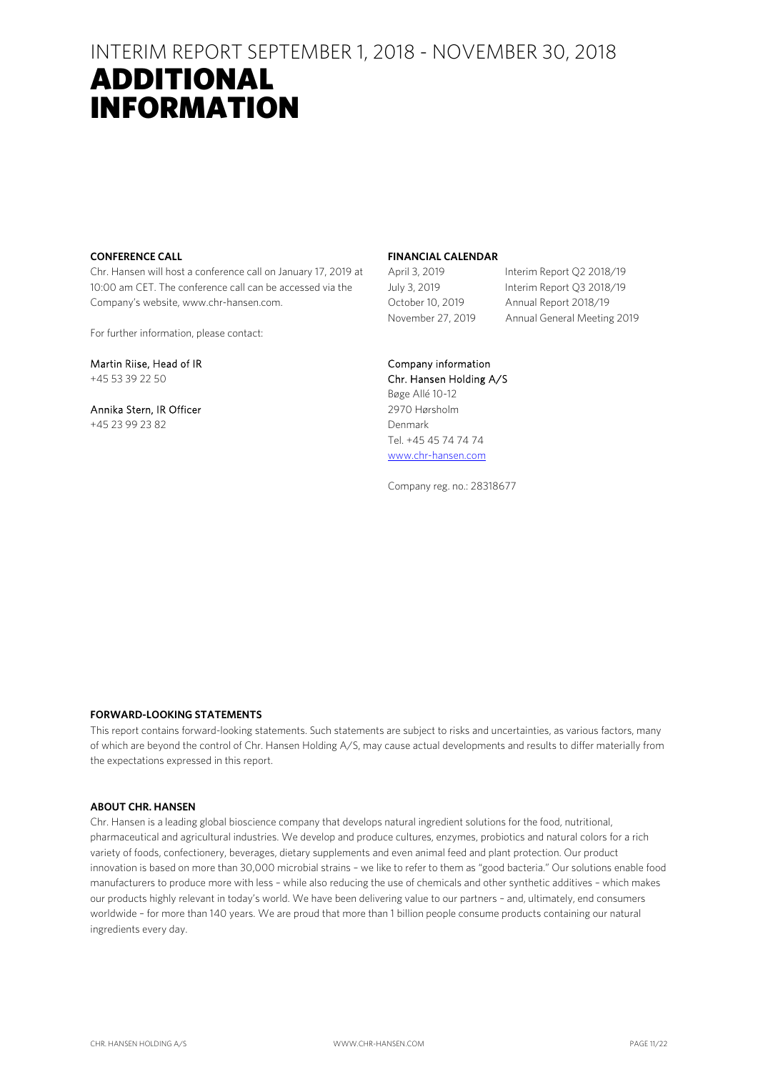### ADDITIONAL INFORMATION

### **CONFERENCE CALL**

Chr. Hansen will host a conference call on January 17, 2019 at 10:00 am CET. The conference call can be accessed via the Company's website, www.chr-hansen.com.

For further information, please contact:

Martin Riise, Head of IR +45 53 39 22 50

Annika Stern, IR Officer +45 23 99 23 82

### **FINANCIAL CALENDAR**

April 3, 2019 Interim Report Q2 2018/19 July 3, 2019 Interim Report Q3 2018/19 October 10, 2019 Annual Report 2018/19 November 27, 2019 Annual General Meeting 2019

### Company information

Chr. Hansen Holding A/S Bøge Allé 10-12 2970 Hørsholm Denmark Tel. +45 45 74 74 74 www.chr-hansen.com

Company reg. no.: 28318677

### **FORWARD-LOOKING STATEMENTS**

This report contains forward-looking statements. Such statements are subject to risks and uncertainties, as various factors, many of which are beyond the control of Chr. Hansen Holding A/S, may cause actual developments and results to differ materially from the expectations expressed in this report.

### **ABOUT CHR. HANSEN**

Chr. Hansen is a leading global bioscience company that develops natural ingredient solutions for the food, nutritional, pharmaceutical and agricultural industries. We develop and produce cultures, enzymes, probiotics and natural colors for a rich variety of foods, confectionery, beverages, dietary supplements and even animal feed and plant protection. Our product innovation is based on more than 30,000 microbial strains – we like to refer to them as "good bacteria." Our solutions enable food manufacturers to produce more with less – while also reducing the use of chemicals and other synthetic additives – which makes our products highly relevant in today's world. We have been delivering value to our partners – and, ultimately, end consumers worldwide – for more than 140 years. We are proud that more than 1 billion people consume products containing our natural ingredients every day.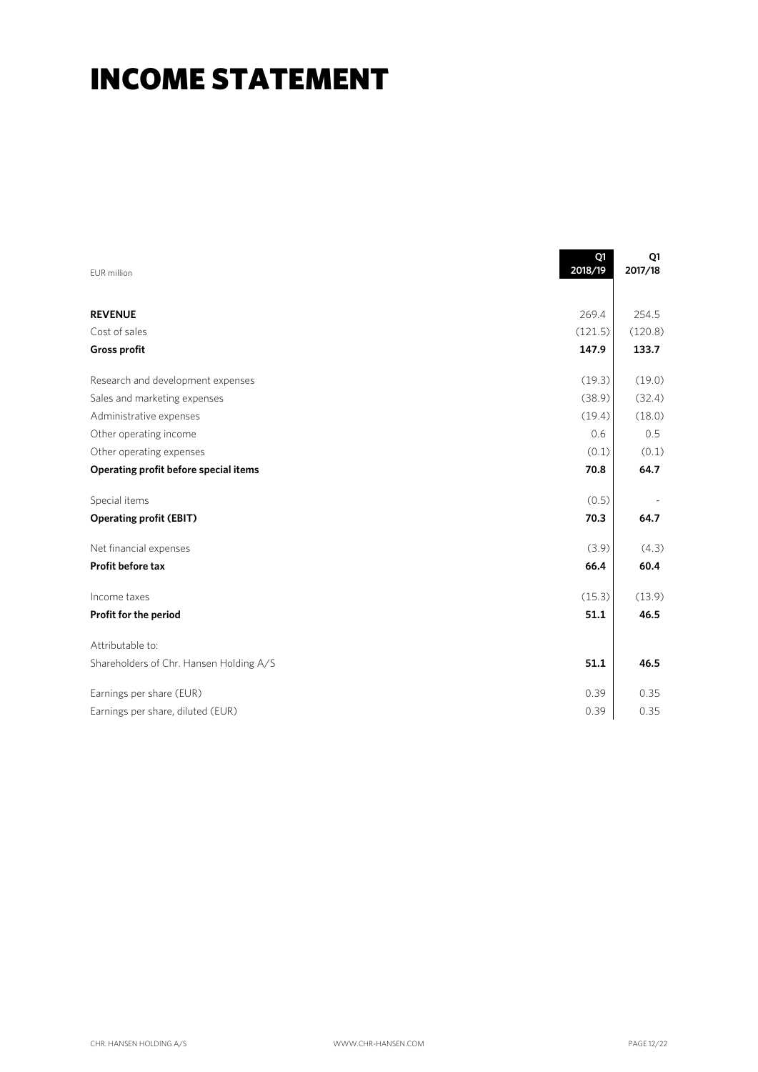## INCOME STATEMENT

| EUR million                             | Q1<br>2018/19 | Q1<br>2017/18 |
|-----------------------------------------|---------------|---------------|
|                                         |               |               |
| <b>REVENUE</b>                          | 269.4         | 254.5         |
| Cost of sales                           | (121.5)       | (120.8)       |
| Gross profit                            | 147.9         | 133.7         |
| Research and development expenses       | (19.3)        | (19.0)        |
| Sales and marketing expenses            | (38.9)        | (32.4)        |
| Administrative expenses                 | (19.4)        | (18.0)        |
| Other operating income                  | 0.6           | 0.5           |
| Other operating expenses                | (0.1)         | (0.1)         |
| Operating profit before special items   | 70.8          | 64.7          |
| Special items                           | (0.5)         |               |
| <b>Operating profit (EBIT)</b>          | 70.3          | 64.7          |
| Net financial expenses                  | (3.9)         | (4.3)         |
| <b>Profit before tax</b>                | 66.4          | 60.4          |
| Income taxes                            | (15.3)        | (13.9)        |
| Profit for the period                   | 51.1          | 46.5          |
| Attributable to:                        |               |               |
| Shareholders of Chr. Hansen Holding A/S | 51.1          | 46.5          |
| Earnings per share (EUR)                | 0.39          | 0.35          |
| Earnings per share, diluted (EUR)       | 0.39          | 0.35          |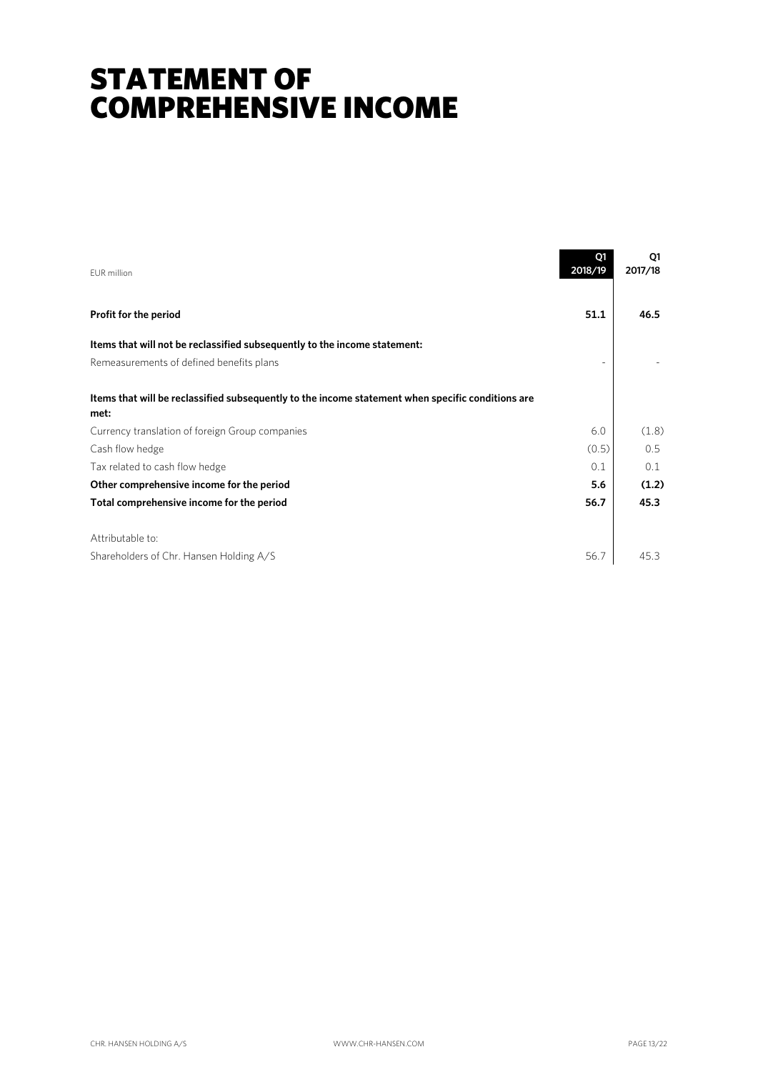## STATEMENT OF COMPREHENSIVE INCOME

| EUR million                                                                                               | Q1<br>2018/19 | Q1<br>2017/18 |
|-----------------------------------------------------------------------------------------------------------|---------------|---------------|
| Profit for the period                                                                                     | 51.1          | 46.5          |
| Items that will not be reclassified subsequently to the income statement:                                 |               |               |
| Remeasurements of defined benefits plans                                                                  |               |               |
| Items that will be reclassified subsequently to the income statement when specific conditions are<br>met: |               |               |
| Currency translation of foreign Group companies                                                           | 6.0           | (1.8)         |
| Cash flow hedge                                                                                           | (0.5)         | 0.5           |
| Tax related to cash flow hedge                                                                            | 0.1           | 0.1           |
| Other comprehensive income for the period                                                                 | 5.6           | (1.2)         |
| Total comprehensive income for the period                                                                 | 56.7          | 45.3          |
| Attributable to:<br>Shareholders of Chr. Hansen Holding A/S                                               | 56.7          | 45.3          |
|                                                                                                           |               |               |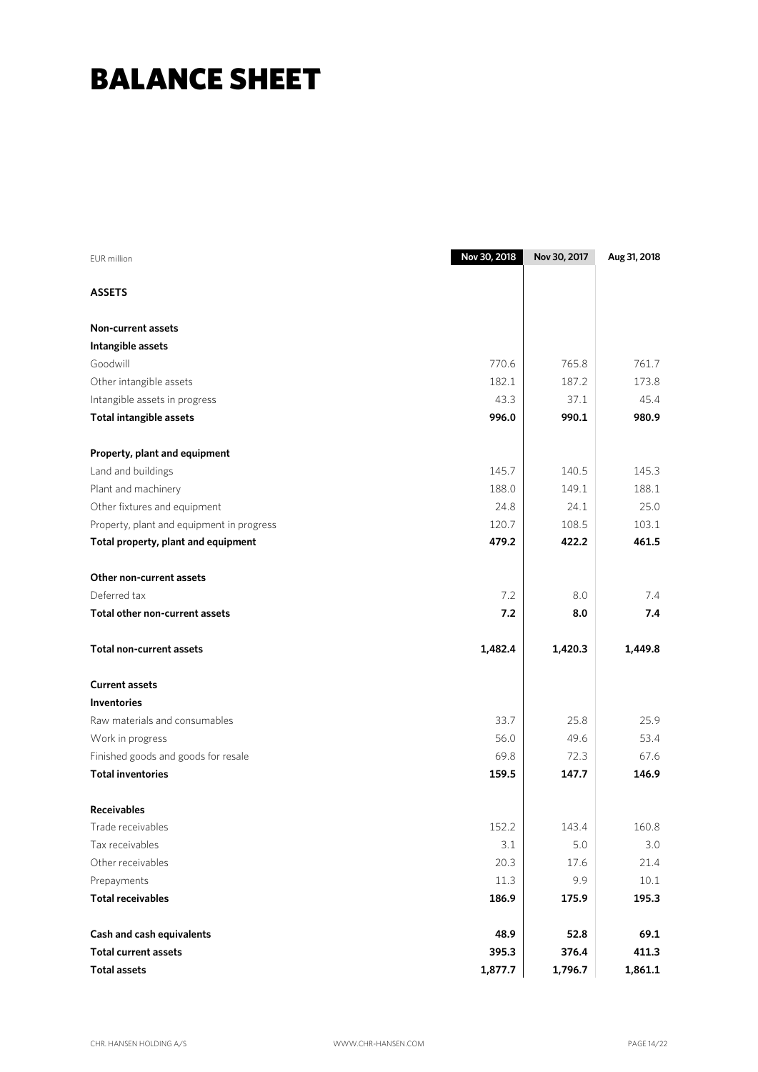## BALANCE SHEET

| <b>EUR</b> million                        | Nov 30, 2018 | Nov 30, 2017 | Aug 31, 2018 |
|-------------------------------------------|--------------|--------------|--------------|
| <b>ASSETS</b>                             |              |              |              |
| Non-current assets                        |              |              |              |
| Intangible assets                         |              |              |              |
| Goodwill                                  | 770.6        | 765.8        | 761.7        |
| Other intangible assets                   | 182.1        | 187.2        | 173.8        |
| Intangible assets in progress             | 43.3         | 37.1         | 45.4         |
| <b>Total intangible assets</b>            | 996.0        | 990.1        | 980.9        |
| Property, plant and equipment             |              |              |              |
| Land and buildings                        | 145.7        | 140.5        | 145.3        |
| Plant and machinery                       | 188.0        | 149.1        | 188.1        |
| Other fixtures and equipment              | 24.8         | 24.1         | 25.0         |
| Property, plant and equipment in progress | 120.7        | 108.5        | 103.1        |
| Total property, plant and equipment       | 479.2        | 422.2        | 461.5        |
| Other non-current assets                  |              |              |              |
| Deferred tax                              | 7.2          | 8.0          | 7.4          |
| Total other non-current assets            | 7.2          | 8.0          | 7.4          |
| <b>Total non-current assets</b>           | 1,482.4      | 1,420.3      | 1,449.8      |
| <b>Current assets</b>                     |              |              |              |
| <b>Inventories</b>                        |              |              |              |
| Raw materials and consumables             | 33.7         | 25.8         | 25.9         |
| Work in progress                          | 56.0         | 49.6         | 53.4         |
| Finished goods and goods for resale       | 69.8         | 72.3         | 67.6         |
| <b>Total inventories</b>                  | 159.5        | 147.7        | 146.9        |
| <b>Receivables</b>                        |              |              |              |
| Trade receivables                         | 152.2        | 143.4        | 160.8        |
| Tax receivables                           | 3.1          | 5.0          | 3.0          |
| Other receivables                         | 20.3         | 17.6         | 21.4         |
| Prepayments                               | $11.3\,$     | 9.9          | $10.1$       |
| <b>Total receivables</b>                  | 186.9        | 175.9        | 195.3        |
| Cash and cash equivalents                 | 48.9         | 52.8         | 69.1         |
| <b>Total current assets</b>               | 395.3        | 376.4        | 411.3        |
| <b>Total assets</b>                       | 1,877.7      | 1,796.7      | 1,861.1      |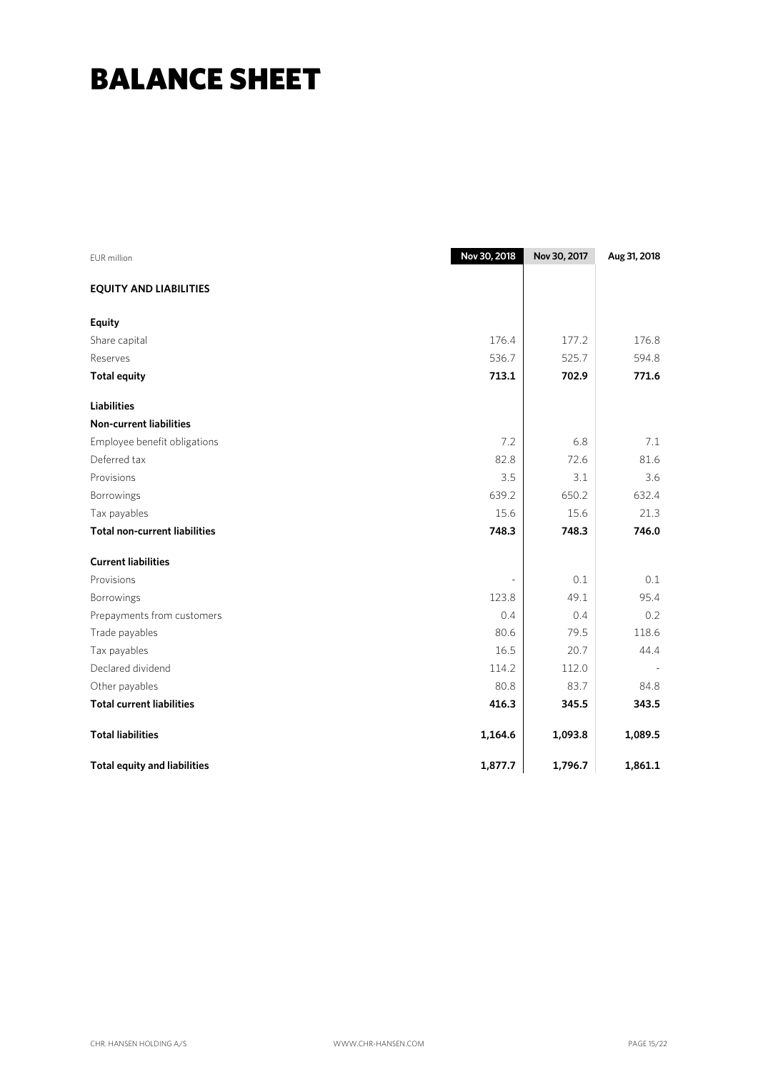## BALANCE SHEET

| <b>EUR</b> million                   | Nov 30, 2018 | Nov 30, 2017 | Aug 31, 2018 |
|--------------------------------------|--------------|--------------|--------------|
| <b>EQUITY AND LIABILITIES</b>        |              |              |              |
| <b>Equity</b>                        |              |              |              |
| Share capital                        | 176.4        | 177.2        | 176.8        |
| Reserves                             | 536.7        | 525.7        | 594.8        |
| <b>Total equity</b>                  | 713.1        | 702.9        | 771.6        |
| <b>Liabilities</b>                   |              |              |              |
| <b>Non-current liabilities</b>       |              |              |              |
| Employee benefit obligations         | 7.2          | 6.8          | 7.1          |
| Deferred tax                         | 82.8         | 72.6         | 81.6         |
| Provisions                           | 3.5          | 3.1          | 3.6          |
| Borrowings                           | 639.2        | 650.2        | 632.4        |
| Tax payables                         | 15.6         | 15.6         | 21.3         |
| <b>Total non-current liabilities</b> | 748.3        | 748.3        | 746.0        |
| <b>Current liabilities</b>           |              |              |              |
| Provisions                           |              | 0.1          | 0.1          |
| Borrowings                           | 123.8        | 49.1         | 95.4         |
| Prepayments from customers           | 0.4          | 0.4          | 0.2          |
| Trade payables                       | 80.6         | 79.5         | 118.6        |
| Tax payables                         | 16.5         | 20.7         | 44.4         |
| Declared dividend                    | 114.2        | 112.0        |              |
| Other payables                       | 80.8         | 83.7         | 84.8         |
| <b>Total current liabilities</b>     | 416.3        | 345.5        | 343.5        |
| <b>Total liabilities</b>             | 1,164.6      | 1,093.8      | 1,089.5      |
| <b>Total equity and liabilities</b>  | 1,877.7      | 1,796.7      | 1,861.1      |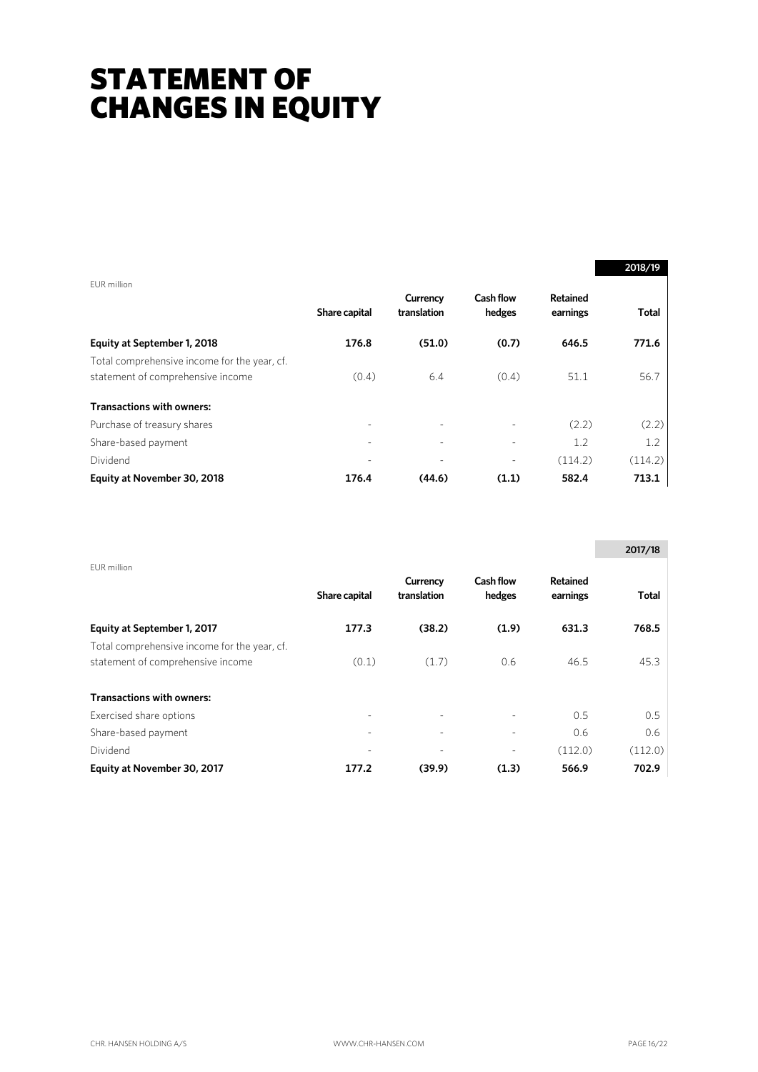## STATEMENT OF CHANGES IN EQUITY

|                                                                                   |                          |                          |                            |                      | 2018/19      |
|-----------------------------------------------------------------------------------|--------------------------|--------------------------|----------------------------|----------------------|--------------|
| EUR million                                                                       | Share capital            | Currency<br>translation  | <b>Cash flow</b><br>hedges | Retained<br>earnings | <b>Total</b> |
| Equity at September 1, 2018                                                       | 176.8                    | (51.0)                   | (0.7)                      | 646.5                | 771.6        |
| Total comprehensive income for the year, cf.<br>statement of comprehensive income | (0.4)                    | 6.4                      | (0.4)                      | 51.1                 | 56.7         |
| <b>Transactions with owners:</b>                                                  |                          |                          |                            |                      |              |
| Purchase of treasury shares                                                       | $\overline{\phantom{a}}$ | $\overline{\phantom{0}}$ |                            | (2.2)                | (2.2)        |
| Share-based payment                                                               |                          |                          |                            | 1.2                  | 1.2          |
| Dividend                                                                          |                          |                          |                            | (114.2)              | (114.2)      |
| Equity at November 30, 2018                                                       | 176.4                    | (44.6)                   | (1.1)                      | 582.4                | 713.1        |

|                                                                                   |               |                         |                            |                             | 2017/18 |
|-----------------------------------------------------------------------------------|---------------|-------------------------|----------------------------|-----------------------------|---------|
| EUR million                                                                       | Share capital | Currency<br>translation | <b>Cash flow</b><br>hedges | <b>Retained</b><br>earnings | Total   |
| Equity at September 1, 2017                                                       | 177.3         | (38.2)                  | (1.9)                      | 631.3                       | 768.5   |
| Total comprehensive income for the year, cf.<br>statement of comprehensive income | (0.1)         | (1.7)                   | 0.6                        | 46.5                        | 45.3    |
| <b>Transactions with owners:</b>                                                  |               |                         |                            |                             |         |
| Exercised share options                                                           |               |                         |                            | 0.5                         | 0.5     |
| Share-based payment                                                               |               |                         |                            | 0.6                         | 0.6     |
| Dividend                                                                          |               |                         |                            | (112.0)                     | (112.0) |
| Equity at November 30, 2017                                                       | 177.2         | (39.9)                  | (1.3)                      | 566.9                       | 702.9   |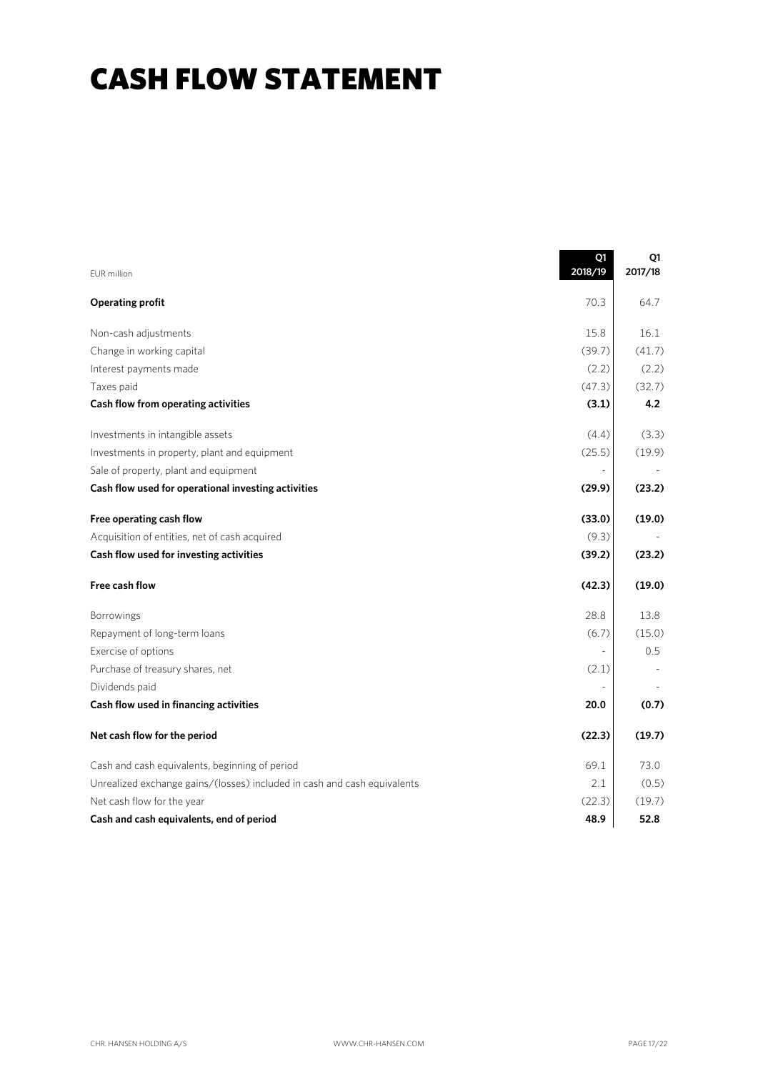## CASH FLOW STATEMENT

|                                                                          | Q1<br>2018/19 | Q1<br>2017/18 |
|--------------------------------------------------------------------------|---------------|---------------|
| <b>EUR</b> million                                                       |               |               |
| <b>Operating profit</b>                                                  | 70.3          | 64.7          |
| Non-cash adjustments                                                     | 15.8          | 16.1          |
| Change in working capital                                                | (39.7)        | (41.7)        |
| Interest payments made                                                   | (2.2)         | (2.2)         |
| Taxes paid                                                               | (47.3)        | (32.7)        |
| Cash flow from operating activities                                      | (3.1)         | 4.2           |
| Investments in intangible assets                                         | (4.4)         | (3.3)         |
| Investments in property, plant and equipment                             | (25.5)        | (19.9)        |
| Sale of property, plant and equipment                                    |               |               |
| Cash flow used for operational investing activities                      | (29.9)        | (23.2)        |
| Free operating cash flow                                                 | (33.0)        | (19.0)        |
| Acquisition of entities, net of cash acquired                            | (9.3)         |               |
| Cash flow used for investing activities                                  | (39.2)        | (23.2)        |
| Free cash flow                                                           | (42.3)        | (19.0)        |
| Borrowings                                                               | 28.8          | 13.8          |
| Repayment of long-term loans                                             | (6.7)         | (15.0)        |
| Exercise of options                                                      |               | 0.5           |
| Purchase of treasury shares, net                                         | (2.1)         |               |
| Dividends paid                                                           |               |               |
| Cash flow used in financing activities                                   | 20.0          | (0.7)         |
| Net cash flow for the period                                             | (22.3)        | (19.7)        |
| Cash and cash equivalents, beginning of period                           | 69.1          | 73.0          |
| Unrealized exchange gains/(losses) included in cash and cash equivalents | 2.1           | (0.5)         |
| Net cash flow for the year                                               | (22.3)        | (19.7)        |
| Cash and cash equivalents, end of period                                 | 48.9          | 52.8          |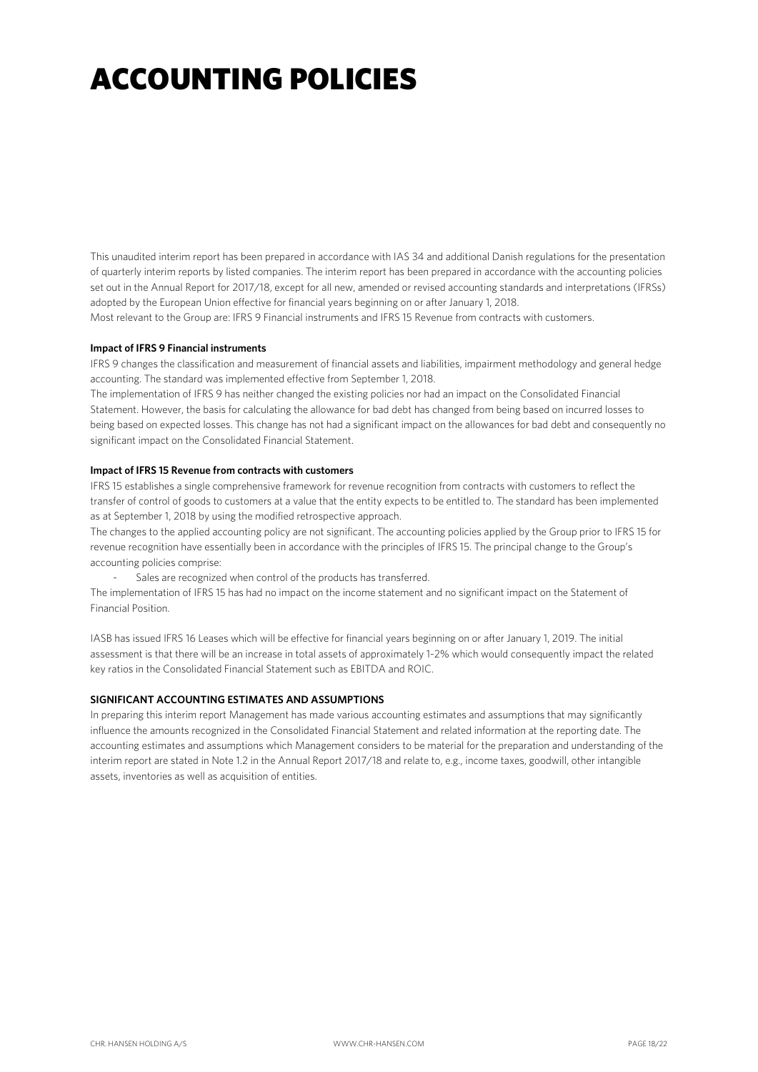## ACCOUNTING POLICIES

This unaudited interim report has been prepared in accordance with IAS 34 and additional Danish regulations for the presentation of quarterly interim reports by listed companies. The interim report has been prepared in accordance with the accounting policies set out in the Annual Report for 2017/18, except for all new, amended or revised accounting standards and interpretations (IFRSs) adopted by the European Union effective for financial years beginning on or after January 1, 2018.

Most relevant to the Group are: IFRS 9 Financial instruments and IFRS 15 Revenue from contracts with customers.

#### **Impact of IFRS 9 Financial instruments**

IFRS 9 changes the classification and measurement of financial assets and liabilities, impairment methodology and general hedge accounting. The standard was implemented effective from September 1, 2018.

The implementation of IFRS 9 has neither changed the existing policies nor had an impact on the Consolidated Financial Statement. However, the basis for calculating the allowance for bad debt has changed from being based on incurred losses to being based on expected losses. This change has not had a significant impact on the allowances for bad debt and consequently no significant impact on the Consolidated Financial Statement.

#### **Impact of IFRS 15 Revenue from contracts with customers**

IFRS 15 establishes a single comprehensive framework for revenue recognition from contracts with customers to reflect the transfer of control of goods to customers at a value that the entity expects to be entitled to. The standard has been implemented as at September 1, 2018 by using the modified retrospective approach.

The changes to the applied accounting policy are not significant. The accounting policies applied by the Group prior to IFRS 15 for revenue recognition have essentially been in accordance with the principles of IFRS 15. The principal change to the Group's accounting policies comprise:

Sales are recognized when control of the products has transferred.

The implementation of IFRS 15 has had no impact on the income statement and no significant impact on the Statement of Financial Position.

IASB has issued IFRS 16 Leases which will be effective for financial years beginning on or after January 1, 2019. The initial assessment is that there will be an increase in total assets of approximately 1-2% which would consequently impact the related key ratios in the Consolidated Financial Statement such as EBITDA and ROIC.

### **SIGNIFICANT ACCOUNTING ESTIMATES AND ASSUMPTIONS**

In preparing this interim report Management has made various accounting estimates and assumptions that may significantly influence the amounts recognized in the Consolidated Financial Statement and related information at the reporting date. The accounting estimates and assumptions which Management considers to be material for the preparation and understanding of the interim report are stated in Note 1.2 in the Annual Report 2017/18 and relate to, e.g., income taxes, goodwill, other intangible assets, inventories as well as acquisition of entities.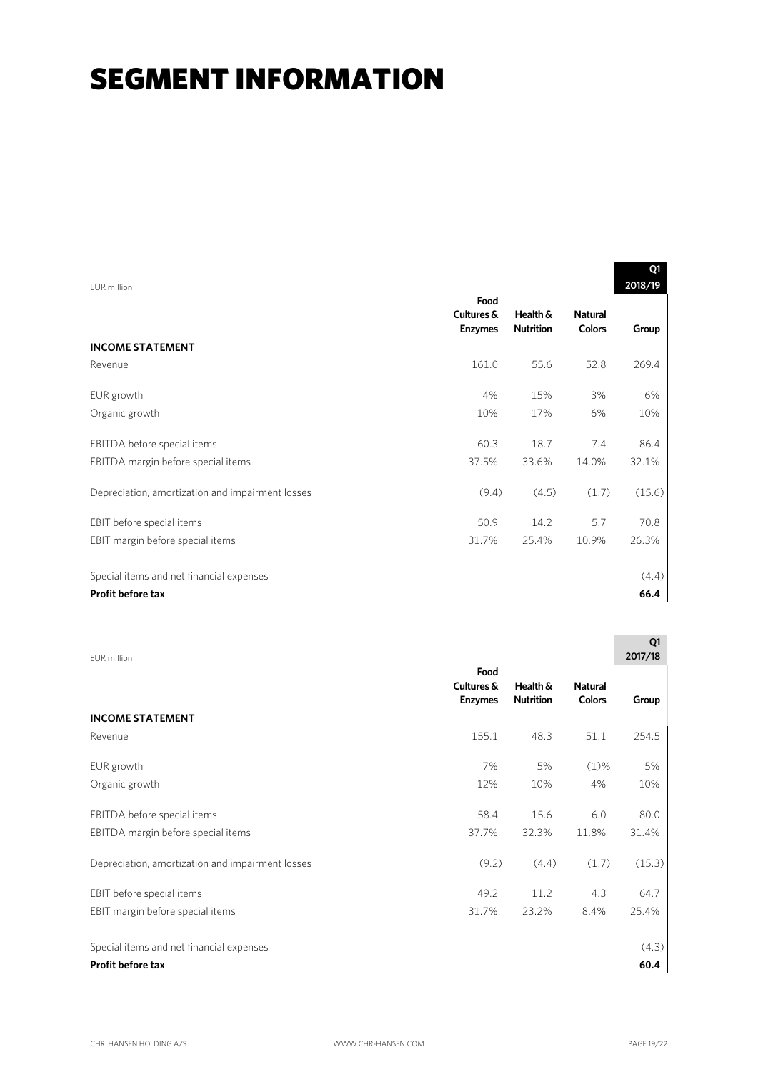## **SEGMENT INFORMATION**

|                                                  |                              |                              |                                 | 01      |
|--------------------------------------------------|------------------------------|------------------------------|---------------------------------|---------|
| FUR million                                      | Food                         |                              |                                 | 2018/19 |
|                                                  | Cultures &<br><b>Enzymes</b> | Health &<br><b>Nutrition</b> | <b>Natural</b><br><b>Colors</b> | Group   |
| <b>INCOME STATEMENT</b>                          |                              |                              |                                 |         |
| Revenue                                          | 161.0                        | 55.6                         | 52.8                            | 269.4   |
| EUR growth                                       | 4%                           | 15%                          | 3%                              | 6%      |
| Organic growth                                   | 10%                          | 17%                          | 6%                              | 10%     |
| EBITDA before special items                      | 60.3                         | 18.7                         | 7.4                             | 86.4    |
| EBITDA margin before special items               | 37.5%                        | 33.6%                        | 14.0%                           | 32.1%   |
| Depreciation, amortization and impairment losses | (9.4)                        | (4.5)                        | (1.7)                           | (15.6)  |
| EBIT before special items                        | 50.9                         | 14.2                         | 5.7                             | 70.8    |
| EBIT margin before special items                 | 31.7%                        | 25.4%                        | 10.9%                           | 26.3%   |
|                                                  |                              |                              |                                 |         |
| Special items and net financial expenses         |                              |                              |                                 | (4.4)   |
| Profit before tax                                |                              |                              |                                 | 66.4    |

| EUR million                                      |                                      |                              |                                 | Q1<br>2017/18 |
|--------------------------------------------------|--------------------------------------|------------------------------|---------------------------------|---------------|
|                                                  | Food<br>Cultures &<br><b>Enzymes</b> | Health &<br><b>Nutrition</b> | <b>Natural</b><br><b>Colors</b> | Group         |
| <b>INCOME STATEMENT</b>                          |                                      |                              |                                 |               |
| Revenue                                          | 155.1                                | 48.3                         | 51.1                            | 254.5         |
| EUR growth                                       | 7%                                   | 5%                           | $(1)\%$                         | 5%            |
| Organic growth                                   | 12%                                  | 10%                          | 4%                              | 10%           |
| EBITDA before special items                      | 58.4                                 | 15.6                         | 6.0                             | 80.0          |
| EBITDA margin before special items               | 37.7%                                | 32.3%                        | 11.8%                           | 31.4%         |
| Depreciation, amortization and impairment losses | (9.2)                                | (4.4)                        | (1.7)                           | (15.3)        |
| EBIT before special items                        | 49.2                                 | 11.2                         | 4.3                             | 64.7          |
| EBIT margin before special items                 | 31.7%                                | 23.2%                        | 8.4%                            | 25.4%         |
| Special items and net financial expenses         |                                      |                              |                                 | (4.3)         |
| <b>Profit before tax</b>                         |                                      |                              |                                 | 60.4          |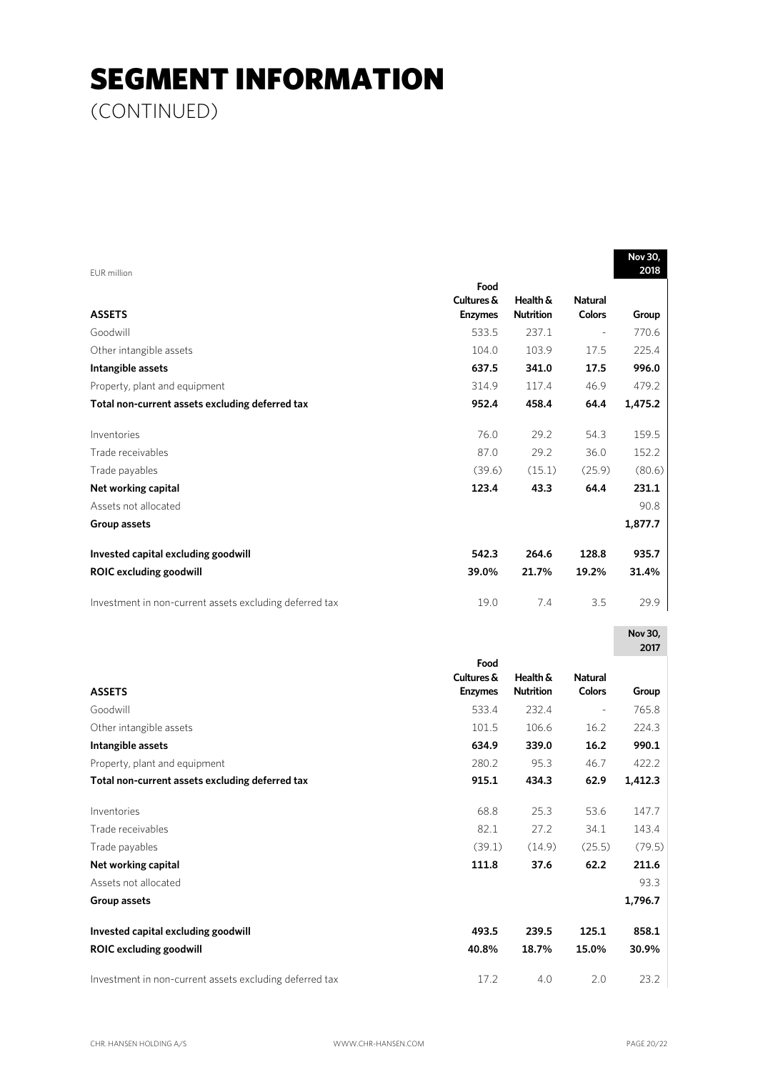## SEGMENT INFORMATION

(CONTINUED)

| EUR million                                             |                |                  |                          | Nov 30,<br>2018 |
|---------------------------------------------------------|----------------|------------------|--------------------------|-----------------|
|                                                         | Food           |                  |                          |                 |
|                                                         | Cultures &     | Health &         | <b>Natural</b>           |                 |
| <b>ASSETS</b>                                           | <b>Enzymes</b> | <b>Nutrition</b> | <b>Colors</b>            | Group           |
| Goodwill                                                | 533.5          | 237.1            | $\overline{\phantom{a}}$ | 770.6           |
| Other intangible assets                                 | 104.0          | 103.9            | 17.5                     | 225.4           |
| Intangible assets                                       | 637.5          | 341.0            | 17.5                     | 996.0           |
| Property, plant and equipment                           | 314.9          | 117.4            | 46.9                     | 479.2           |
| Total non-current assets excluding deferred tax         | 952.4          | 458.4            | 64.4                     | 1,475.2         |
| Inventories                                             | 76.0           | 29.2             | 54.3                     | 159.5           |
| Trade receivables                                       | 87.0           | 29.2             | 36.0                     | 152.2           |
| Trade payables                                          | (39.6)         | (15.1)           | (25.9)                   | (80.6)          |
| Net working capital                                     | 123.4          | 43.3             | 64.4                     | 231.1           |
| Assets not allocated                                    |                |                  |                          | 90.8            |
| Group assets                                            |                |                  |                          | 1,877.7         |
| Invested capital excluding goodwill                     | 542.3          | 264.6            | 128.8                    | 935.7           |
| <b>ROIC excluding goodwill</b>                          | 39.0%          | 21.7%            | 19.2%                    | 31.4%           |
| Investment in non-current assets excluding deferred tax | 19.0           | 7.4              | 3.5                      | 29.9            |
|                                                         |                |                  |                          | Nov 30,<br>2017 |
|                                                         | Food           |                  |                          |                 |
|                                                         | Cultures &     | Health &         | <b>Natural</b>           |                 |
| <b>ASSETS</b>                                           | <b>Enzymes</b> | <b>Nutrition</b> | <b>Colors</b>            | Group           |
| Goodwill                                                | 533.4          | 232.4            | $\overline{\phantom{a}}$ | 765.8           |
| Other intangible assets                                 | 101.5          | 106.6            | 16.2                     | 224.3           |
| Intangible assets                                       | 634.9          | 339.0            | 16.2                     | 990.1           |
| Property, plant and equipment                           | 280.2          | 95.3             | 46.7                     | 422.2           |
| Total non-current assets excluding deferred tax         | 915.1          | 434.3            | 62.9                     | 1,412.3         |
| Inventories                                             | 68.8           | 25.3             | 53.6                     | 147.7           |
| Trade receivables                                       | 82.1           | 27.2             | 34.1                     | 143.4           |
| Trade payables                                          | (39.1)         | (14.9)           | (25.5)                   | (79.5)          |
| Net working capital                                     | 111.8          | 37.6             | 62.2                     | 211.6           |
| Assets not allocated                                    |                |                  |                          | 93.3            |
| Group assets                                            |                |                  |                          | 1,796.7         |
| Invested capital excluding goodwill                     | 493.5          | 239.5            | 125.1                    | 858.1           |
| <b>ROIC excluding goodwill</b>                          | 40.8%          | 18.7%            | 15.0%                    | 30.9%           |
|                                                         |                |                  |                          |                 |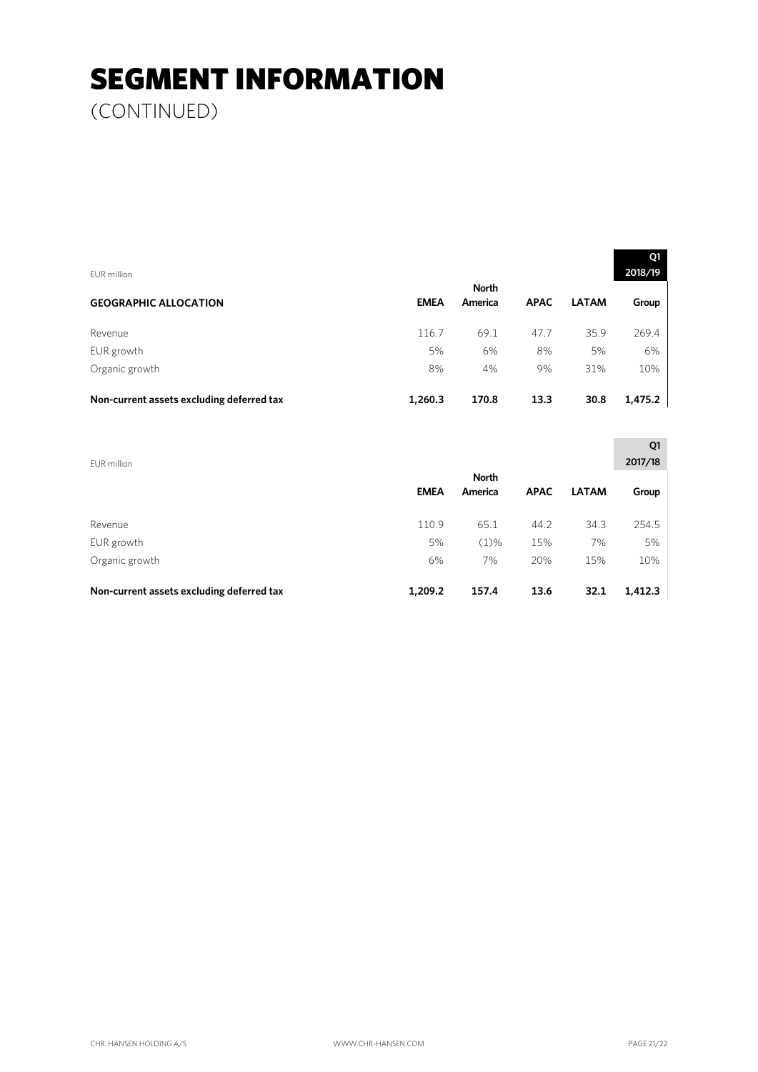# SEGMENT INFORMATION

(CONTINUED)

| EUR million                               |             |                         |             |              | Q1<br>2018/19 |
|-------------------------------------------|-------------|-------------------------|-------------|--------------|---------------|
| <b>GEOGRAPHIC ALLOCATION</b>              | <b>EMEA</b> | <b>North</b><br>America | <b>APAC</b> | <b>LATAM</b> | Group         |
| Revenue                                   | 116.7       | 69.1                    | 47.7        | 35.9         | 269.4         |
| EUR growth                                | 5%          | 6%                      | 8%          | 5%           | 6%            |
| Organic growth                            | 8%          | 4%                      | 9%          | 31%          | 10%           |
| Non-current assets excluding deferred tax | 1,260.3     | 170.8                   | 13.3        | 30.8         | 1,475.2       |

| EUR million                               |             |                         |             |              | Q1<br>2017/18 |
|-------------------------------------------|-------------|-------------------------|-------------|--------------|---------------|
|                                           | <b>EMEA</b> | <b>North</b><br>America | <b>APAC</b> | <b>LATAM</b> | Group         |
| Revenue                                   | 110.9       | 65.1                    | 44.2        | 34.3         | 254.5         |
| EUR growth                                | 5%          | $(1)\%$                 | 15%         | 7%           | 5%            |
| Organic growth                            | 6%          | 7%                      | 20%         | 15%          | 10%           |
| Non-current assets excluding deferred tax | 1,209.2     | 157.4                   | 13.6        | 32.1         | 1,412.3       |